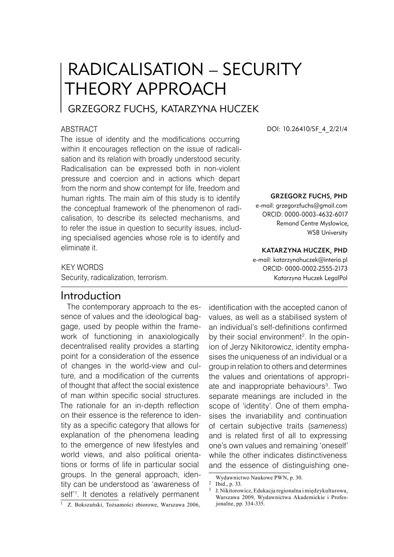# RADICALISATION – SECURITY THEORY APPROACH

# Grzegorz Fuchs, Katarzyna Huczek

#### **ABSTRACT**

The issue of identity and the modifications occurring within it encourages reflection on the issue of radicalisation and its relation with broadly understood security. Radicalisation can be expressed both in non-violent pressure and coercion and in actions which depart from the norm and show contempt for life, freedom and human rights. The main aim of this study is to identify the conceptual framework of the phenomenon of radicalisation, to describe its selected mechanisms, and to refer the issue in question to security issues, including specialised agencies whose role is to identify and eliminate it.

DOI: 10.26410/SF\_4\_2/21/4

#### Grzegorz Fuchs, PHD

e-mail: grzegorzfuchs@gmail.com ORCID: 0000-0003-4632-6017 Remand Centre Mysłowice, WSB University

#### Katarzyna Huczek, PHD

e-mail: katarzynahuczek@interia.pl ORCID: 0000-0002-2555-2173 Katarzyna Huczek LegalPol

## KEY WORDS

Security, radicalization, terrorism.

# Introduction

The contemporary approach to the essence of values and the ideological baggage, used by people within the framework of functioning in anaxiologically decentralised reality provides a starting point for a consideration of the essence of changes in the world-view and culture, and a modification of the currents of thought that affect the social existence of man within specific social structures. The rationale for an in-depth reflection on their essence is the reference to identity as a specific category that allows for explanation of the phenomena leading to the emergence of new lifestyles and world views, and also political orientations or forms of life in particular social groups. In the general approach, identity can be understood as 'awareness of self' . It denotes a relatively permanent <sup>1</sup> Z. Bokszański, Tożsamości zbiorowe, Warszawa 2006,

identification with the accepted canon of values, as well as a stabilised system of an individual's self-definitions confirmed by their social environment<sup>2</sup>. In the opinion of Jerzy Nikitorowicz, identity emphasises the uniqueness of an individual or a group in relation to others and determines the values and orientations of appropriate and inappropriate behaviours . Two separate meanings are included in the scope of 'identity'. One of them emphasises the invariability and continuation of certain subjective traits (*sameness*) and is related first of all to expressing one's own values and remaining 'oneself' while the other indicates distinctiveness and the essence of distinguishing one-

Wydawnictwo Naukowe PWN, p. 30. <sup>2</sup> Ibid., p. 33.

J. Nikitorowicz, Edukacja regionalna i międzykulturowa, Warszawa 2009, Wydawnictwa Akademickie i Profesjonalne, pp. 334-335.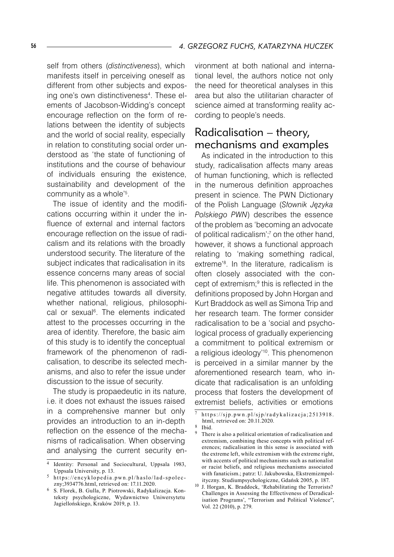self from others (*distinctiveness*), which manifests itself in perceiving oneself as different from other subjects and exposing one's own distinctiveness . These elements of Jacobson-Widding's concept encourage reflection on the form of relations between the identity of subjects and the world of social reality, especially in relation to constituting social order understood as 'the state of functioning of institutions and the course of behaviour of individuals ensuring the existence, sustainability and development of the community as a whole' .

The issue of identity and the modifications occurring within it under the influence of external and internal factors encourage reflection on the issue of radicalism and its relations with the broadly understood security. The literature of the subject indicates that radicalisation in its essence concerns many areas of social life. This phenomenon is associated with negative attitudes towards all diversity, whether national, religious, philosophical or sexual . The elements indicated attest to the processes occurring in the area of identity. Therefore, the basic aim of this study is to identify the conceptual framework of the phenomenon of radicalisation, to describe its selected mechanisms, and also to refer the issue under discussion to the issue of security.

The study is propaedeutic in its nature, i.e. it does not exhaust the issues raised in a comprehensive manner but only provides an introduction to an in-depth reflection on the essence of the mechanisms of radicalisation. When observing and analysing the current security environment at both national and international level, the authors notice not only the need for theoretical analyses in this area but also the utilitarian character of science aimed at transforming reality according to people's needs.

# Radicalisation – theory, mechanisms and examples

As indicated in the introduction to this study, radicalisation affects many areas of human functioning, which is reflected in the numerous definition approaches present in science. The PWN Dictionary of the Polish Language (*Słownik Języka Polskiego PWN*) describes the essence of the problem as 'becoming an advocate of political radicalism'; on the other hand, however, it shows a functional approach relating to 'making something radical, extreme' . In the literature, radicalism is often closely associated with the concept of extremism;<sup>9</sup> this is reflected in the definitions proposed by John Horgan and Kurt Braddock as well as Simona Trip and her research team. The former consider radicalisation to be a 'social and psychological process of gradually experiencing a commitment to political extremism or a religious ideology'<sup>10</sup>. This phenomenon is perceived in a similar manner by the aforementioned research team, who indicate that radicalisation is an unfolding process that fosters the development of extremist beliefs, activities or emotions

<sup>&</sup>lt;sup>4</sup> Identity: Personal and Sociocultural, Uppsala 1983, Uppsala University, p. 13.

<sup>5</sup> https://encyklopedia.pwn.pl/haslo/lad-spoleczny;3934776.html, retrieved on: 17.11.2020.

S. Florek, B. Gulla, P. Piotrowski, Radykalizacja. Konteksty psychologiczne, Wydawnictwo Uniwersytetu Jagiellońskiego, Kraków 2019, p. 13.

https://sjp.pwn.pl/sjp/radykalizacja;2513918. html, retrieved on: 20.11.2020.

<sup>8</sup> Ibid.

There is also a political orientation of radicalisation and extremism, combining these concepts with political references; radicalisation in this sense is associated with the extreme left, while extremism with the extreme right, with accents of political mechanisms such as nationalist or racist beliefs, and religious mechanisms associated with fanaticism.; patrz: U. Jakubowska, Ekstremizmpolityczny. Studiumpsychologiczne, Gdańsk 2005, p. 187.

<sup>&</sup>lt;sup>10</sup> J. Horgan, K. Braddock, 'Rehabilitating the Terrorists? Challenges in Assessing the Effectiveness of Deradicalisation Programs', "Terrorism and Political Violence", Vol. 22 (2010), p. 279.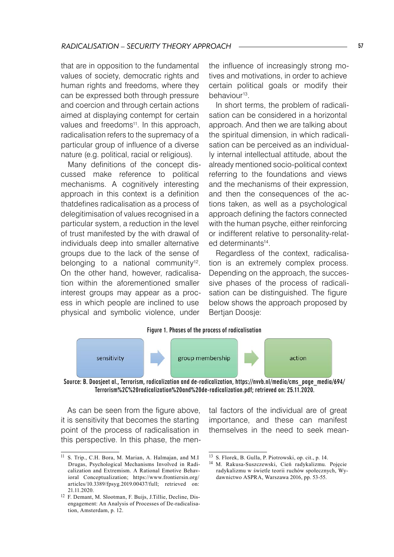that are in opposition to the fundamental values of society, democratic rights and human rights and freedoms, where they can be expressed both through pressure and coercion and through certain actions aimed at displaying contempt for certain values and freedoms<sup>11</sup>. In this approach, radicalisation refers to the supremacy of a particular group of influence of a diverse nature (e.g. political, racial or religious).

Many definitions of the concept discussed make reference to political mechanisms. A cognitively interesting approach in this context is a definition thatdefines radicalisation as a process of delegitimisation of values recognised in a particular system, a reduction in the level of trust manifested by the with drawal of individuals deep into smaller alternative groups due to the lack of the sense of belonging to a national community<sup>12</sup>. On the other hand, however, radicalisation within the aforementioned smaller interest groups may appear as a process in which people are inclined to use physical and symbolic violence, under

the influence of increasingly strong motives and motivations, in order to achieve certain political goals or modify their behaviour<sup>13</sup>.

In short terms, the problem of radicalisation can be considered in a horizontal approach. And then we are talking about the spiritual dimension, in which radicalisation can be perceived as an individually internal intellectual attitude, about the already mentioned socio-political context referring to the foundations and views and the mechanisms of their expression, and then the consequences of the actions taken, as well as a psychological approach defining the factors connected with the human psyche, either reinforcing or indifferent relative to personality-related determinants<sup>14</sup>.

Regardless of the context, radicalisation is an extremely complex process. Depending on the approach, the successive phases of the process of radicalisation can be distinguished. The figure below shows the approach proposed by Bertjan Doosje:

#### Figure 1. Phases of the process of radicalisation



Source: B. Doosjeet al., Terrorism, radicalization and de-radicalization, https://nvvb.nl/media/cms\_page\_media/694/ Terrorism%2C%20radicalization%20and%20de-radicalization.pdf; retrieved on: 25.11.2020.

As can be seen from the figure above, it is sensitivity that becomes the starting point of the process of radicalisation in this perspective. In this phase, the mental factors of the individual are of great importance, and these can manifest themselves in the need to seek mean-

<sup>&</sup>lt;sup>11</sup> S. Trip., C.H. Bora, M. Marian, A. Halmajan, and M.I Drugas, Psychological Mechanisms Involved in Radicalization and Extremism. A Rational Emotive Behavioral Conceptualization; https://www.frontiersin.org/ articles/10.3389/fpsyg.2019.00437/full; retrieved on: 21.11.2020.

<sup>&</sup>lt;sup>12</sup> F. Demant, M. Slootman, F. Buijs, J.Tillie, Decline, Disengagement: An Analysis of Processes of De-radicalisation, Amsterdam, p. 12.

<sup>13</sup> S. Florek, B. Gulla, P. Piotrowski, op. cit., p. 14.

<sup>14</sup> M. Rakusa-Suszczewski, Cień radykalizmu. Pojęcie radykalizmu w świetle teorii ruchów społecznych, Wydawnictwo ASPRA, Warszawa 2016, pp. 53-55.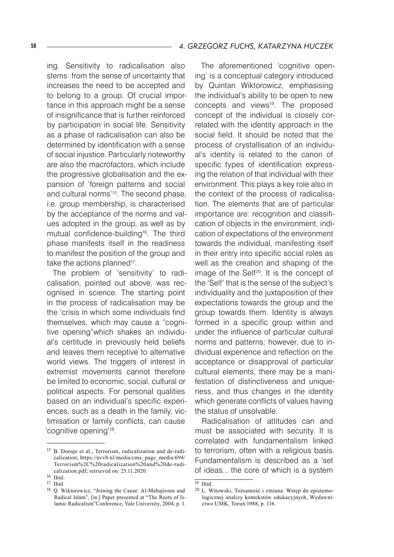ing. Sensitivity to radicalisation also stems from the sense of uncertainty that increases the need to be accepted and to belong to a group. Of crucial importance in this approach might be a sense of insignificance that is further reinforced by participation in social life. Sensitivity as a phase of radicalisation can also be determined by identification with a sense of social injustice. Particularly noteworthy are also the macrofactors, which include the progressive globalisation and the expansion of 'foreign patterns and social and cultural norms<sup>'15</sup>. The second phase, i.e. group membership, is characterised by the acceptance of the norms and values adopted in the group, as well as by mutual confidence-building16. The third phase manifests itself in the readiness to manifest the position of the group and take the actions planned<sup>17</sup>.

The problem of 'sensitivity' to radicalisation, pointed out above, was recognised in science. The starting point in the process of radicalisation may be the 'crisis in which some individuals find themselves, which may cause a "cognitive opening"which shakes an individual's certitude in previously held beliefs and leaves them receptive to alternative world views. The triggers of interest in extremist movements cannot therefore be limited to economic, social, cultural or political aspects. For personal qualities based on an individual's specific experiences, such as a death in the family, victimisation or family conflicts, can cause 'cognitive opening'18.

The aforementioned 'cognitive opening' is a conceptual category introduced by Quintan Wiktorowicz, emphasising the individual's ability to be open to new concepts and views<sup>19</sup>. The proposed concept of the individual is closely correlated with the identity approach in the social field. It should be noted that the process of crystallisation of an individual's identity is related to the canon of specific types of identification expressing the relation of that individual with their environment. This plays a key role also in the context of the process of radicalisation. The elements that are of particular importance are: recognition and classification of objects in the environment, indication of expectations of the environment towards the individual, manifesting itself in their entry into specific social roles as well as the creation and shaping of the image of the Self<sup>20</sup>. It is the concept of the 'Self' that is the sense of the subject's individuality and the juxtaposition of their expectations towards the group and the group towards them. Identity is always formed in a specific group within and under the influence of particular cultural norms and patterns; however, due to individual experience and reflection on the acceptance or disapproval of particular cultural elements, there may be a manifestation of distinctiveness and uniqueness, and thus changes in the identity which generate conflicts of values having the status of unsolvable.

Radicalisation of attitudes can and must be associated with security. It is correlated with fundamentalism linked to terrorism, often with a religious basis. Fundamentalism is described as a 'set of ideas... the core of which is a system

<sup>&</sup>lt;sup>15</sup> B. Doosje et al., Terrorism, radicalization and de-radicalization; https://nvvb.nl/media/cms\_page\_media/694/ Ter rorism%2C%20radicalization%20and%20de-radicalization.pdf; retrieved on: 25.11.2020.

<sup>&</sup>lt;sup>16</sup> Ibid. <sup>17</sup> Ibid.

<sup>18</sup> Q. Wiktorowicz, "Joining the Cause: Al-Muhajiroun and Radical Islam", [in:] Paper presented at "The Roots of Islamic Radicalism"Conference, Yale University, 2004, p. 1.

 $19$  Ibid.

<sup>20</sup> L. Witowski, Tożsamość i zmiana. Wstęp do epistemologicznej analizy kontekstów edukacyjnych, Wydawnictwo UMK, Toruń 1988, p. 116.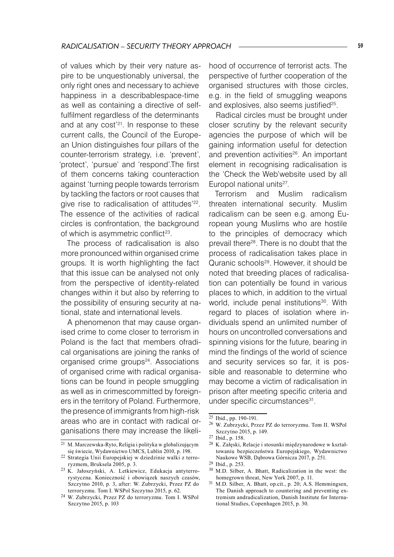of values which by their very nature aspire to be unquestionably universal, the only right ones and necessary to achieve happiness in a describablespace-time as well as containing a directive of selffulfilment regardless of the determinants and at any cost'21. In response to these current calls, the Council of the European Union distinguishes four pillars of the counter-terrorism strategy, i.e. 'prevent', 'protect', 'pursue' and 'respond'.The first of them concerns taking counteraction against 'turning people towards terrorism by tackling the factors or root causes that give rise to radicalisation of attitudes'22. The essence of the activities of radical circles is confrontation, the background of which is asymmetric conflict<sup>23</sup>.

The process of radicalisation is also more pronounced within organised crime groups. It is worth highlighting the fact that this issue can be analysed not only from the perspective of identity-related changes within it but also by referring to the possibility of ensuring security at national, state and international levels.

A phenomenon that may cause organised crime to come closer to terrorism in Poland is the fact that members ofradical organisations are joining the ranks of organised crime groups<sup>24</sup>. Associations of organised crime with radical organisations can be found in people smuggling as well as in crimescommitted by foreigners in the territory of Poland. Furthermore, the presence of immigrants from high-risk areas who are in contact with radical organisations there may increase the likelihood of occurrence of terrorist acts. The perspective of further cooperation of the organised structures with those circles, e.g. in the field of smuggling weapons and explosives, also seems justified<sup>25</sup>.

Radical circles must be brought under closer scrutiny by the relevant security agencies the purpose of which will be gaining information useful for detection and prevention activities<sup>26</sup>. An important element in recognising radicalisation is the 'Check the Web'website used by all Europol national units<sup>27</sup>.

Terrorism and Muslim radicalism threaten international security. Muslim radicalism can be seen e.g. among European young Muslims who are hostile to the principles of democracy which prevail there28. There is no doubt that the process of radicalisation takes place in Quranic schools<sup>29</sup>. However, it should be noted that breeding places of radicalisation can potentially be found in various places to which, in addition to the virtual world, include penal institutions<sup>30</sup>. With regard to places of isolation where individuals spend an unlimited number of hours on uncontrolled conversations and spinning visions for the future, bearing in mind the findings of the world of science and security services so far, it is possible and reasonable to determine who may become a victim of radicalisation in prison after meeting specific criteria and under specific circumstances<sup>31</sup>.

30 M.D. Silber, A. Bhatt, Radicalization in the west: the homegrown threat, New York 2007, p. 11.

 $\overline{21\,M}$ . Marczewska-Ryto, Religia i polityka w globalizującym się świecie, Wydawnictwo UMCS, Lublin 2010, p. 198.

<sup>22</sup> Strategia Unii Europejskiej w dziedzinie walki z terroryzmem, Bruksela 2005, p. 3.

<sup>23</sup> K. Jałoszyński, A. Letkiewicz, Edukacja antyterrorystyczna. Konieczność i obowiązek naszych czasów, Szczytno 2010, p. 3, after: W. Zubrzycki, Przez PZ do terroryzmu. Tom I. WSPol Szczytno 2015, p. 62.

<sup>24</sup> W. Zubrzycki, Przez PZ do terroryzmu. Tom I. WSPol Szczytno 2015, p. 103

 $25$  Ibid., pp. 190-191.

<sup>26</sup> W. Zubrzycki, Przez PZ do terroryzmu. Tom II. WSPol Szczytno 2015, p. 149.

<sup>27</sup> Ibid., p. 158.

<sup>28</sup> K. Załęski, Relacje i stosunki międzynarodowe w kształtowaniu bezpieczeństwa Europejskiego, Wydawnictwo Naukowe WSB, Dąbrowa Górnicza 2017, p. 251.

<sup>29</sup> Ibid., p. 253.

<sup>&</sup>lt;sup>31</sup> M.D. Silber, A. Bhatt, op.cit., p. 20; A.S. Hemmingsen, The Danish approach to countering and preventing extremism andradicalization, Danish Institute for International Studies, Copenhagen 2015, p. 30.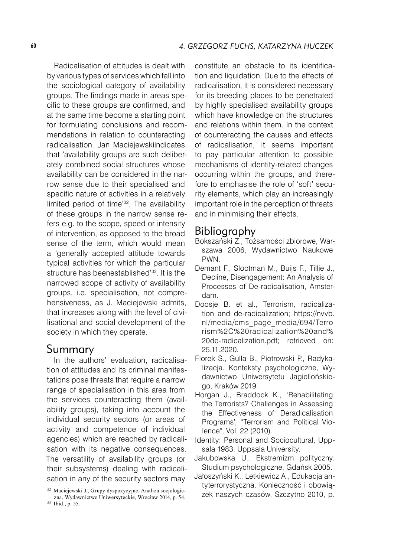Radicalisation of attitudes is dealt with by various types of services which fall into the sociological category of availability groups. The findings made in areas specific to these groups are confirmed, and at the same time become a starting point for formulating conclusions and recommendations in relation to counteracting radicalisation. Jan Maciejewskiindicates that 'availability groups are such deliberately combined social structures whose availability can be considered in the narrow sense due to their specialised and specific nature of activities in a relatively limited period of time'32. The availability of these groups in the narrow sense refers e.g. to the scope, speed or intensity of intervention, as opposed to the broad sense of the term, which would mean a 'generally accepted attitude towards typical activities for which the particular structure has beenestablished<sup>'33</sup>. It is the narrowed scope of activity of availability groups, i.e. specialisation, not comprehensiveness, as J. Maciejewski admits, that increases along with the level of civilisational and social development of the society in which they operate.

## Summary

In the authors' evaluation, radicalisation of attitudes and its criminal manifestations pose threats that require a narrow range of specialisation in this area from the services counteracting them (availability groups), taking into account the individual security sectors (or areas of activity and competence of individual agencies) which are reached by radicalisation with its negative consequences. The versatility of availability groups (or their subsystems) dealing with radicalisation in any of the security sectors may

constitute an obstacle to its identification and liquidation. Due to the effects of radicalisation, it is considered necessary for its breeding places to be penetrated by highly specialised availability groups which have knowledge on the structures and relations within them. In the context of counteracting the causes and effects of radicalisation, it seems important to pay particular attention to possible mechanisms of identity-related changes occurring within the groups, and therefore to emphasise the role of 'soft' security elements, which play an increasingly important role in the perception of threats and in minimising their effects.

## Bibliography

- Bokszański Z., Tożsamości zbiorowe, Warszawa 2006, Wydawnictwo Naukowe PWN.
- Demant F., Slootman M., Buijs F., Tillie J., Decline, Disengagement: An Analysis of Processes of De-radicalisation, Amsterdam.
- Doosje B. et al., Terrorism, radicalization and de-radicalization; https://nvvb. nl/media/cms\_page\_media/694/Terro rism%2C%20radicalization%20and% 20de-radicalization.pdf; retrieved on: 25.11.2020.
- Florek S., Gulla B., Piotrowski P., Radykalizacja. Konteksty psychologiczne, Wydawnictwo Uniwersytetu Jagiellońskiego, Kraków 2019.
- Horgan J., Braddock K., 'Rehabilitating the Terrorists? Challenges in Assessing the Effectiveness of Deradicalisation Programs', "Terrorism and Political Violence", Vol. 22 (2010).
- Identity: Personal and Sociocultural, Uppsala 1983, Uppsala University.
- Jakubowska U., Ekstremizm polityczny. Studium psychologiczne, Gdańsk 2005.
- Jałoszyński K., Letkiewicz A., Edukacja antyterrorystyczna. Konieczność i obowiązek naszych czasów, Szczytno 2010, p.

<sup>32</sup> Maciejewski J., Grupy dyspozycyjne. Analiza socjologiczna, Wydawnictwo Uniwersyteckie, Wrocław 2014, p. 54. 33 Ibid., p. 55.